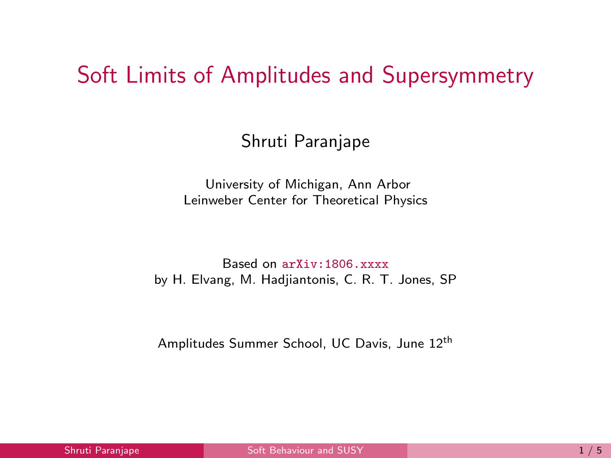### <span id="page-0-0"></span>Soft Limits of Amplitudes and Supersymmetry

#### Shruti Paranjape

University of Michigan, Ann Arbor Leinweber Center for Theoretical Physics

Based on arXiv:1806.xxxx by H. Elvang, M. Hadjiantonis, C. R. T. Jones, SP

Amplitudes Summer School, UC Davis, June 12th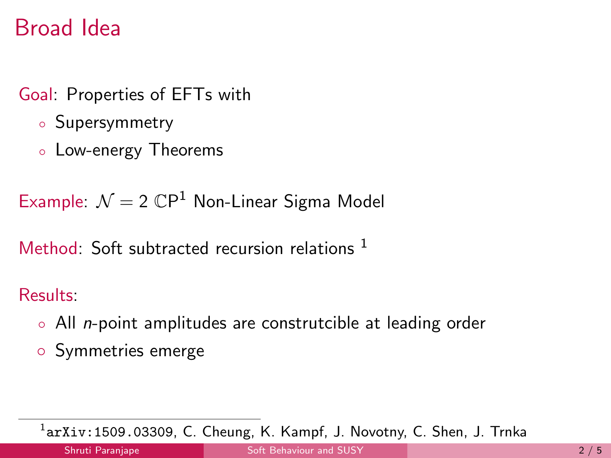## Broad Idea

- Goal: Properties of EFTs with
	- Supersymmetry
	- Low-energy Theorems

Example:  $\mathcal{N}=2$   $\mathbb{C}P^1$  Non-Linear Sigma Model

Method: Soft subtracted recursion relations  $<sup>1</sup>$ </sup>

Results:

- All n-point amplitudes are construtcible at leading order
- Symmetries emerge

 $^{1}$ arXiv:1509.03309, C. Cheung, K. Kampf, J. Novotny, C. Shen, J. Trnka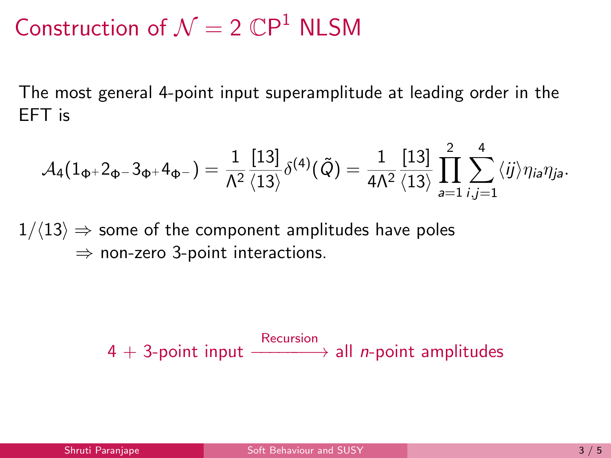Construction of  $\mathcal{N} = 2 \mathbb{C}P^1$  NLSM

The most general 4-point input superamplitude at leading order in the EFT is

$$
\mathcal{A}_4(1_{\Phi^+}2_{\Phi^-}3_{\Phi^+}4_{\Phi^-})=\frac{1}{\Lambda^2}\frac{[13]}{\langle 13 \rangle}\delta^{(4)}(\tilde{Q})=\frac{1}{4\Lambda^2}\frac{[13]}{\langle 13 \rangle}\prod_{a=1}^2\sum_{i,j=1}^4\langle ij \rangle \eta_{ia}\eta_{ja}.
$$

 $1/\langle 13 \rangle \Rightarrow$  some of the component amplitudes have poles  $\Rightarrow$  non-zero 3-point interactions.

 $4 + 3$ -point input  $\xrightarrow{\text{Recursion}}$  all *n*-point amplitudes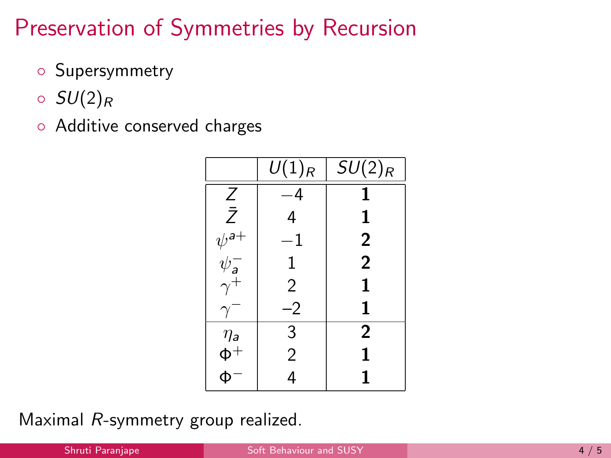# Preservation of Symmetries by Recursion

- Supersymmetry
- $\circ$  SU(2)<sub>R</sub>
- Additive conserved charges

|                                   | $U(1)_R$       | $SU(2)_R$      |
|-----------------------------------|----------------|----------------|
| $\frac{Z}{\bar{Z}}$               | -4             | 1              |
|                                   | 4              | 1              |
|                                   | $^{\rm -1}$    | $\overline{2}$ |
| $\psi^{\mathsf{a}+}_{\mathsf{a}}$ | 1              | $\overline{2}$ |
| $\gamma^{\dot{+}}$                | 2              | 1              |
| $\gamma$                          | $-2$           | 1              |
|                                   | 3              | $\overline{2}$ |
| $\eta_a$<br>$\Phi^+$              | $\overline{2}$ | 1              |
|                                   |                |                |

Maximal R-symmetry group realized.